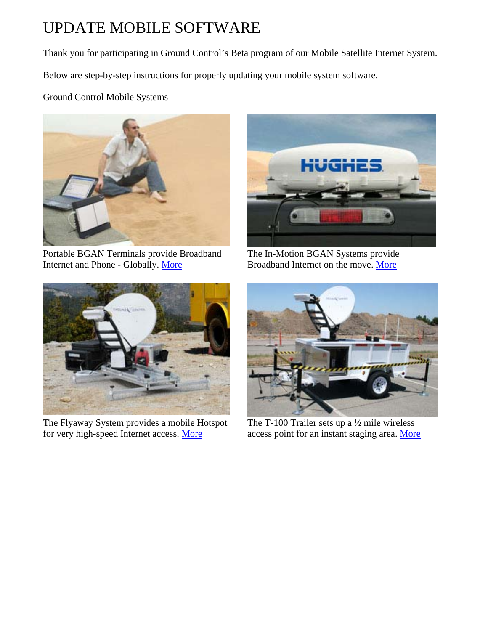# UPDATE MOBILE SOFTWARE

Thank you for participating in Ground Control's Beta program of our Mobile Satellite Internet System.

Below are step-by-step instructions for properly updating your mobile system software.

Ground Control Mobile Systems



Portable BGAN Terminals provide Broadband Internet and Phone - Globally. [More](http://www.groundcontrol.com/BGAN.htm)



The In-Motion BGAN Systems provide Broadband Internet on the move. [More](http://www.groundcontrol.com/bgan-in-motion-chooser.htm)



The Flyaway System provides a mobile Hotspot for very high-speed Internet access. [More](http://www.groundcontrol.com/flyaway-mobile.htm)



The T-100 Trailer sets up a ½ mile wireless access point for an instant staging area. [More](http://www.groundcontrol.com/mobile-satellite-trailer.htm)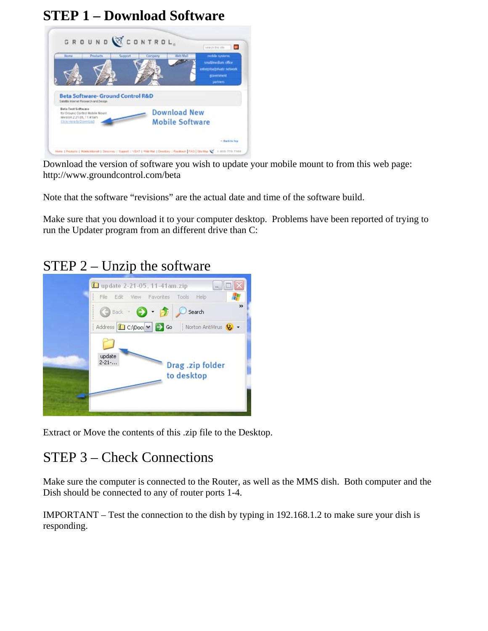### **STEP 1 – Download Software**



Download the version of software you wish to update your mobile mount to from this web page: http://www.groundcontrol.com/beta

Note that the software "revisions" are the actual date and time of the software build.

Make sure that you download it to your computer desktop. Problems have been reported of trying to run the Updater program from an different drive than C:

#### STEP 2 – Unzip the software



Extract or Move the contents of this .zip file to the Desktop.

### STEP 3 – Check Connections

Make sure the computer is connected to the Router, as well as the MMS dish. Both computer and the Dish should be connected to any of router ports 1-4.

IMPORTANT – Test the connection to the dish by typing in 192.168.1.2 to make sure your dish is responding.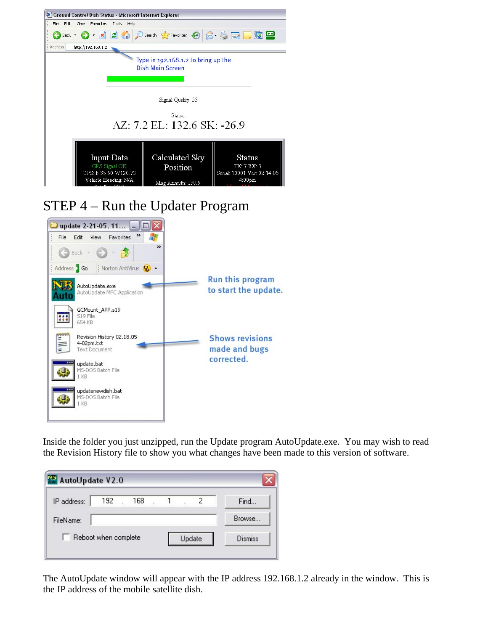|                                                                                                                                                                                                                            | Edit<br>View<br>Favorites                                          | Tools<br>Help | Ground Control Dish Status - Microsoft Internet Explorer                        |  |            |  |  |
|----------------------------------------------------------------------------------------------------------------------------------------------------------------------------------------------------------------------------|--------------------------------------------------------------------|---------------|---------------------------------------------------------------------------------|--|------------|--|--|
|                                                                                                                                                                                                                            | $\bigodot$ Back $\cdot$ $\bigodot$ $\cdot$ $\bigotimes$ $\bigodot$ |               | O Search <b>A</b> Favorites $\bigotimes$ $\bigotimes$ $\bigotimes$ $\bigotimes$ |  | <u>g e</u> |  |  |
| Address                                                                                                                                                                                                                    | http://192.168.1.2                                                 |               |                                                                                 |  |            |  |  |
| Type in 192.168.1.2 to bring up the<br><b>Dish Main Screen</b>                                                                                                                                                             |                                                                    |               |                                                                                 |  |            |  |  |
| Signal Quality: 53                                                                                                                                                                                                         |                                                                    |               |                                                                                 |  |            |  |  |
| Status:<br>AZ: 7.2 EL: 132.6 SK: -26.9                                                                                                                                                                                     |                                                                    |               |                                                                                 |  |            |  |  |
| Calculated Sky<br>Input Data<br><b>Status</b><br>GPS Signal OK<br><b>TX: 7 RX: 5</b><br>Position<br>GPS: N35.50 W120.73<br>Serial: 10001 Ver: 02.14.05<br>Vehicle Heading: N/A<br>4:00 <sub>pm</sub><br>Mag Azimuth: 130.9 |                                                                    |               |                                                                                 |  |            |  |  |



Inside the folder you just unzipped, run the Update program AutoUpdate.exe. You may wish to read the Revision History file to show you what changes have been made to this version of software.

| AutoUpdate V2.0 |                      |     |  |        |   |                |
|-----------------|----------------------|-----|--|--------|---|----------------|
| IP address:     | 192                  | 168 |  |        | 2 | Find           |
| FileName:       |                      |     |  |        |   | Browse         |
|                 | Reboot when complete |     |  | Update |   | <b>Dismiss</b> |

The AutoUpdate window will appear with the IP address 192.168.1.2 already in the window. This is the IP address of the mobile satellite dish.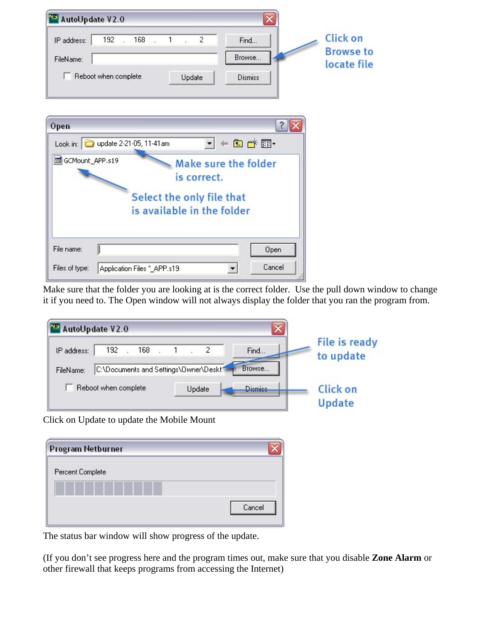| AutoUpdate V2.0                                         |                                 |
|---------------------------------------------------------|---------------------------------|
| $192$ $168$ $1$ $2$<br>IP address:<br>Find              | <b>Click on</b>                 |
| Browse<br>FileName:                                     | <b>Browse to</b><br>locate file |
| Reboot when complete<br>Update<br><b>Dismiss</b>        |                                 |
|                                                         |                                 |
| ?<br>Open                                               |                                 |
| 白づ丽<br>Look in: 0 update 2-21-05, 11-41am               |                                 |
| GCMount_APP.s19<br>Make sure the folder                 |                                 |
| is correct.                                             |                                 |
| Select the only file that                               |                                 |
| is available in the folder                              |                                 |
|                                                         |                                 |
| File name:<br>Open                                      |                                 |
| Cancel<br>Files of type:<br>Application Files *_APP.s19 |                                 |

Make sure that the folder you are looking at is the correct folder. Use the pull down window to change it if you need to. The Open window will not always display the folder that you ran the program from.

| AutoUpdate V2.0 |                                       |                     |        |  |                | File is ready   |
|-----------------|---------------------------------------|---------------------|--------|--|----------------|-----------------|
| IP address:     |                                       | $192$ $168$ $1$ $2$ |        |  | Find           | to update       |
| FileName:       | C:\Documents and Settings\Owner\Deskt |                     |        |  | Browse         |                 |
|                 | Reboot when complete                  |                     | Update |  | <b>Dismiss</b> | <b>Click on</b> |
|                 |                                       |                     |        |  |                | Update          |

| Program Netburner |  |
|-------------------|--|
| Percent Complete  |  |

The status bar window will show progress of the update.

(If you don't see progress here and the program times out, make sure that you disable **Zone Alarm** or other firewall that keeps programs from accessing the Internet)

Cancel